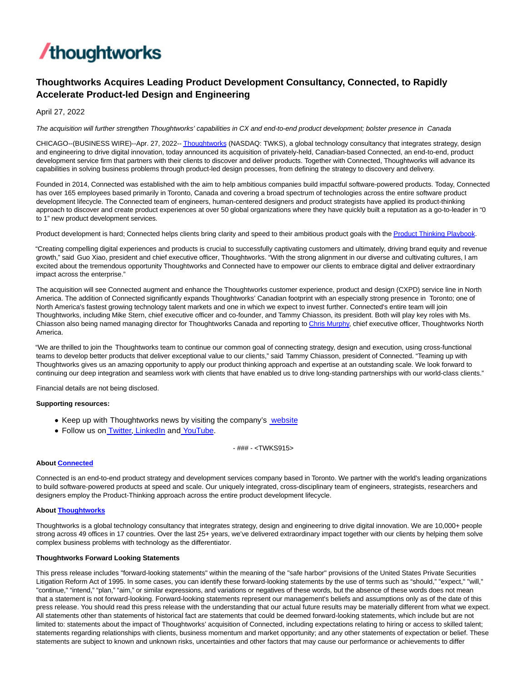

# **Thoughtworks Acquires Leading Product Development Consultancy, Connected, to Rapidly Accelerate Product-led Design and Engineering**

April 27, 2022

The acquisition will further strengthen Thoughtworks' capabilities in CX and end-to-end product development; bolster presence in Canada

CHICAGO--(BUSINESS WIRE)--Apr. 27, 2022-[- Thoughtworks \(](https://cts.businesswire.com/ct/CT?id=smartlink&url=http%3A%2F%2Fwww.thoughtworks.com%2F&esheet=52698863&newsitemid=20220427005401&lan=en-US&anchor=Thoughtworks&index=1&md5=3c0a662f360d01c37a59e27339ecd674)NASDAQ: TWKS), a global technology consultancy that integrates strategy, design and engineering to drive digital innovation, today announced its acquisition of privately-held, Canadian-based Connected, an end-to-end, product development service firm that partners with their clients to discover and deliver products. Together with Connected, Thoughtworks will advance its capabilities in solving business problems through product-led design processes, from defining the strategy to discovery and delivery.

Founded in 2014, Connected was established with the aim to help ambitious companies build impactful software-powered products. Today, Connected has over 165 employees based primarily in Toronto, Canada and covering a broad spectrum of technologies across the entire software product development lifecycle. The Connected team of engineers, human-centered designers and product strategists have applied its product-thinking approach to discover and create product experiences at over 50 global organizations where they have quickly built a reputation as a go-to-leader in "0 to 1" new product development services.

Product development is hard; Connected helps clients bring clarity and speed to their ambitious product goals with th[e Product Thinking Playbook.](https://cts.businesswire.com/ct/CT?id=smartlink&url=https%3A%2F%2Fconnected.io%2Fplaybook%2F&esheet=52698863&newsitemid=20220427005401&lan=en-US&anchor=Product+Thinking+Playbook&index=2&md5=4e36094195e25a8ed67832a36a4f2d0b)

"Creating compelling digital experiences and products is crucial to successfully captivating customers and ultimately, driving brand equity and revenue growth," said Guo Xiao, president and chief executive officer, Thoughtworks. "With the strong alignment in our diverse and cultivating cultures, I am excited about the tremendous opportunity Thoughtworks and Connected have to empower our clients to embrace digital and deliver extraordinary impact across the enterprise."

The acquisition will see Connected augment and enhance the Thoughtworks customer experience, product and design (CXPD) service line in North America. The addition of Connected significantly expands Thoughtworks' Canadian footprint with an especially strong presence in Toronto; one of North America's fastest growing technology talent markets and one in which we expect to invest further. Connected's entire team will join Thoughtworks, including Mike Stern, chief executive officer and co-founder, and Tammy Chiasson, its president. Both will play key roles with Ms. Chiasson also being named managing director for Thoughtworks Canada and reporting t[o Chris Murphy,](https://cts.businesswire.com/ct/CT?id=smartlink&url=https%3A%2F%2Fwww.thoughtworks.com%2Fen-us%2Fprofiles%2Fleaders%2Fchris-murphy&esheet=52698863&newsitemid=20220427005401&lan=en-US&anchor=Chris+Murphy&index=3&md5=09b1a05fb8b4f25b8f71caeb8684734e) chief executive officer, Thoughtworks North America.

"We are thrilled to join the Thoughtworks team to continue our common goal of connecting strategy, design and execution, using cross-functional teams to develop better products that deliver exceptional value to our clients," said Tammy Chiasson, president of Connected. "Teaming up with Thoughtworks gives us an amazing opportunity to apply our product thinking approach and expertise at an outstanding scale. We look forward to continuing our deep integration and seamless work with clients that have enabled us to drive long-standing partnerships with our world-class clients."

Financial details are not being disclosed.

### **Supporting resources:**

- Keep up with Thoughtworks news by visiting the company's [website](https://cts.businesswire.com/ct/CT?id=smartlink&url=http%3A%2F%2Fwww.thoughtworks.com%2F&esheet=52698863&newsitemid=20220427005401&lan=en-US&anchor=website&index=4&md5=a327dd5d2a44f79eb55502ba38cd5186)
- Follow us o[n Twitter,](https://cts.businesswire.com/ct/CT?id=smartlink&url=https%3A%2F%2Ftwitter.com%2Fthoughtworks&esheet=52698863&newsitemid=20220427005401&lan=en-US&anchor=Twitter&index=5&md5=0c73c442f00b4a879e8ac4d5786725c3) [LinkedIn a](https://cts.businesswire.com/ct/CT?id=smartlink&url=https%3A%2F%2Fwww.linkedin.com%2Fcompany%2Fthoughtworks&esheet=52698863&newsitemid=20220427005401&lan=en-US&anchor=LinkedIn&index=6&md5=0086d7a71f73767c8edfa50c27e9350e)n[d YouTube.](https://cts.businesswire.com/ct/CT?id=smartlink&url=https%3A%2F%2Fwww.youtube.com%2Fuser%2FThoughtWorks&esheet=52698863&newsitemid=20220427005401&lan=en-US&anchor=YouTube&index=7&md5=22ac7262389de00a76652892e3219103)

- ### - <TWKS915>

## **Abou[t Connected](https://cts.businesswire.com/ct/CT?id=smartlink&url=https%3A%2F%2Fconnected.io%2F&esheet=52698863&newsitemid=20220427005401&lan=en-US&anchor=Connected&index=8&md5=05c3a60d80e387a56981d9f7c5e6dfb8)**

Connected is an end-to-end product strategy and development services company based in Toronto. We partner with the world's leading organizations to build software-powered products at speed and scale. Our uniquely integrated, cross-disciplinary team of engineers, strategists, researchers and designers employ the Product-Thinking approach across the entire product development lifecycle.

#### **Abou[t Thoughtworks](https://cts.businesswire.com/ct/CT?id=smartlink&url=https%3A%2F%2Fwww.thoughtworks.com%2F%3Futm_source%3Dpress-release%26utm_medium%3Dpr%26utm_campaign%3Dempc_forrester-study_2021-05&esheet=52698863&newsitemid=20220427005401&lan=en-US&anchor=Thoughtworks&index=9&md5=0e690bf3264cc6e5963a742ad5f49980)**

Thoughtworks is a global technology consultancy that integrates strategy, design and engineering to drive digital innovation. We are 10,000+ people strong across 49 offices in 17 countries. Over the last 25+ years, we've delivered extraordinary impact together with our clients by helping them solve complex business problems with technology as the differentiator.

#### **Thoughtworks Forward Looking Statements**

This press release includes "forward-looking statements" within the meaning of the "safe harbor" provisions of the United States Private Securities Litigation Reform Act of 1995. In some cases, you can identify these forward-looking statements by the use of terms such as "should," "expect," "will," "continue," "intend," "plan," "aim," or similar expressions, and variations or negatives of these words, but the absence of these words does not mean that a statement is not forward-looking. Forward-looking statements represent our management's beliefs and assumptions only as of the date of this press release. You should read this press release with the understanding that our actual future results may be materially different from what we expect. All statements other than statements of historical fact are statements that could be deemed forward-looking statements, which include but are not limited to: statements about the impact of Thoughtworks' acquisition of Connected, including expectations relating to hiring or access to skilled talent; statements regarding relationships with clients, business momentum and market opportunity; and any other statements of expectation or belief. These statements are subject to known and unknown risks, uncertainties and other factors that may cause our performance or achievements to differ